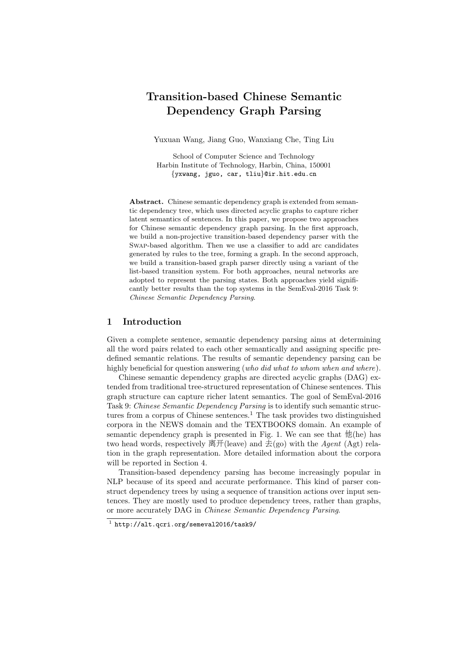# Transition-based Chinese Semantic Dependency Graph Parsing

Yuxuan Wang, Jiang Guo, Wanxiang Che, Ting Liu

School of Computer Science and Technology Harbin Institute of Technology, Harbin, China, 150001 {yxwang, jguo, car, tliu}@ir.hit.edu.cn

Abstract. Chinese semantic dependency graph is extended from semantic dependency tree, which uses directed acyclic graphs to capture richer latent semantics of sentences. In this paper, we propose two approaches for Chinese semantic dependency graph parsing. In the first approach, we build a non-projective transition-based dependency parser with the Swap-based algorithm. Then we use a classifier to add arc candidates generated by rules to the tree, forming a graph. In the second approach, we build a transition-based graph parser directly using a variant of the list-based transition system. For both approaches, neural networks are adopted to represent the parsing states. Both approaches yield significantly better results than the top systems in the SemEval-2016 Task 9: Chinese Semantic Dependency Parsing.

# 1 Introduction

Given a complete sentence, semantic dependency parsing aims at determining all the word pairs related to each other semantically and assigning specific predefined semantic relations. The results of semantic dependency parsing can be highly beneficial for question answering (who did what to whom when and where).

Chinese semantic dependency graphs are directed acyclic graphs (DAG) extended from traditional tree-structured representation of Chinese sentences. This graph structure can capture richer latent semantics. The goal of SemEval-2016 Task 9: Chinese Semantic Dependency Parsing is to identify such semantic structures from a corpus of Chinese sentences.<sup>1</sup> The task provides two distinguished corpora in the NEWS domain and the TEXTBOOKS domain. An example of semantic dependency graph is presented in Fig. 1. We can see that  $\mathcal{H}(\mathbf{he})$  has two head words, respectively 离开(leave) and  $\pm$ (go) with the Agent (Agt) relation in the graph representation. More detailed information about the corpora will be reported in Section 4.

Transition-based dependency parsing has become increasingly popular in NLP because of its speed and accurate performance. This kind of parser construct dependency trees by using a sequence of transition actions over input sentences. They are mostly used to produce dependency trees, rather than graphs, or more accurately DAG in Chinese Semantic Dependency Parsing.

 $^1$  http://alt.qcri.org/semeval2016/task9/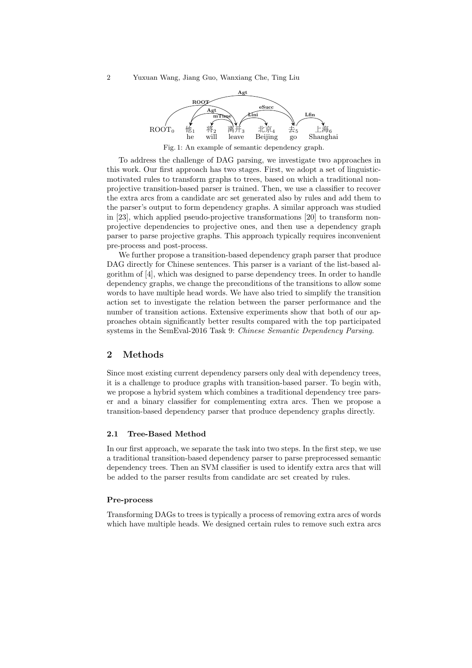

To address the challenge of DAG parsing, we investigate two approaches in this work. Our first approach has two stages. First, we adopt a set of linguisticmotivated rules to transform graphs to trees, based on which a traditional nonprojective transition-based parser is trained. Then, we use a classifier to recover the extra arcs from a candidate arc set generated also by rules and add them to the parser's output to form dependency graphs. A similar approach was studied in [23], which applied pseudo-projective transformations [20] to transform nonprojective dependencies to projective ones, and then use a dependency graph parser to parse projective graphs. This approach typically requires inconvenient pre-process and post-process.

We further propose a transition-based dependency graph parser that produce DAG directly for Chinese sentences. This parser is a variant of the list-based algorithm of [4], which was designed to parse dependency trees. In order to handle dependency graphs, we change the preconditions of the transitions to allow some words to have multiple head words. We have also tried to simplify the transition action set to investigate the relation between the parser performance and the number of transition actions. Extensive experiments show that both of our approaches obtain significantly better results compared with the top participated systems in the SemEval-2016 Task 9: Chinese Semantic Dependency Parsing.

# 2 Methods

Since most existing current dependency parsers only deal with dependency trees, it is a challenge to produce graphs with transition-based parser. To begin with, we propose a hybrid system which combines a traditional dependency tree parser and a binary classifier for complementing extra arcs. Then we propose a transition-based dependency parser that produce dependency graphs directly.

# 2.1 Tree-Based Method

In our first approach, we separate the task into two steps. In the first step, we use a traditional transition-based dependency parser to parse preprocessed semantic dependency trees. Then an SVM classifier is used to identify extra arcs that will be added to the parser results from candidate arc set created by rules.

# Pre-process

Transforming DAGs to trees is typically a process of removing extra arcs of words which have multiple heads. We designed certain rules to remove such extra arcs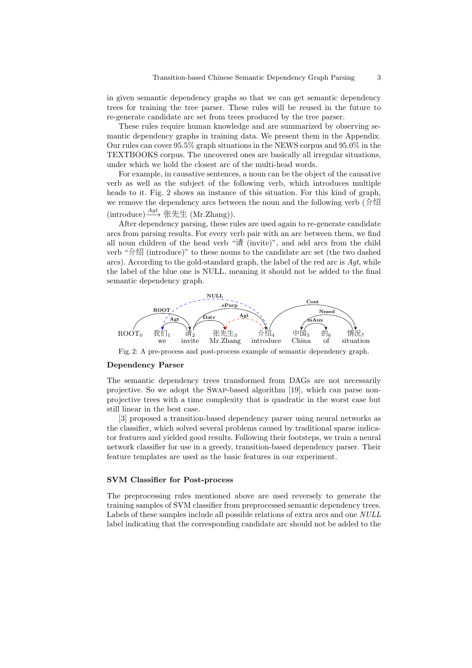in given semantic dependency graphs so that we can get semantic dependency trees for training the tree parser. These rules will be reused in the future to re-generate candidate arc set from trees produced by the tree parser.

These rules require human knowledge and are summarized by observing semantic dependency graphs in training data. We present them in the Appendix. Our rules can cover 95.5% graph situations in the NEWS corpus and 95.0% in the TEXTBOOKS corpus. The uncovered ones are basically all irregular situations, under which we hold the closest arc of the multi-head words.

For example, in causative sentences, a noun can be the object of the causative verb as well as the subject of the following verb, which introduces multiple heads to it. Fig. 2 shows an instance of this situation. For this kind of graph, we remove the dependency arcs between the noun and the following verb (介绍) (introduce) $\xrightarrow{Agt}$  张先生 (Mr.Zhang)).

After dependency parsing, these rules are used again to re-generate candidate arcs from parsing results. For every verb pair with an arc between them, we find all noun children of the head verb "请 (invite)", and add arcs from the child verb "介绍 (introduce)" to these nouns to the candidate arc set (the two dashed arcs). According to the gold-standard graph, the label of the red arc is  $Aqt$ , while the label of the blue one is NULL, meaning it should not be added to the final semantic dependency graph.



Fig. 2: A pre-process and post-process example of semantic dependency graph.

# Dependency Parser

The semantic dependency trees transformed from DAGs are not necessarily projective. So we adopt the Swap-based algorithm [19], which can parse nonprojective trees with a time complexity that is quadratic in the worst case but still linear in the best case.

[3] proposed a transition-based dependency parser using neural networks as the classifier, which solved several problems caused by traditional sparse indicator features and yielded good results. Following their footsteps, we train a neural network classifier for use in a greedy, transition-based dependency parser. Their feature templates are used as the basic features in our experiment.

#### SVM Classifier for Post-process

The preprocessing rules mentioned above are used reversely to generate the training samples of SVM classifier from preprocessed semantic dependency trees. Labels of these samples include all possible relations of extra arcs and one NULL label indicating that the corresponding candidate arc should not be added to the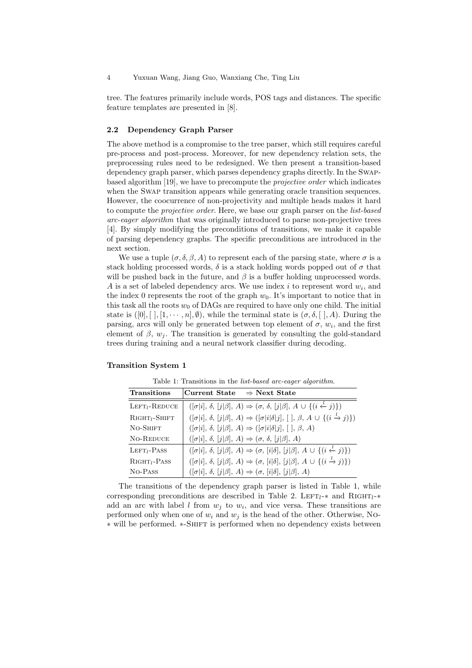tree. The features primarily include words, POS tags and distances. The specific feature templates are presented in [8].

# 2.2 Dependency Graph Parser

The above method is a compromise to the tree parser, which still requires careful pre-process and post-process. Moreover, for new dependency relation sets, the preprocessing rules need to be redesigned. We then present a transition-based dependency graph parser, which parses dependency graphs directly. In the Swapbased algorithm [19], we have to precompute the projective order which indicates when the Swap transition appears while generating oracle transition sequences. However, the coocurrence of non-projectivity and multiple heads makes it hard to compute the *projective order*. Here, we base our graph parser on the *list-based* arc-eager algorithm that was originally introduced to parse non-projective trees [4]. By simply modifying the preconditions of transitions, we make it capable of parsing dependency graphs. The specific preconditions are introduced in the next section.

We use a tuple  $(\sigma, \delta, \beta, A)$  to represent each of the parsing state, where  $\sigma$  is a stack holding processed words,  $\delta$  is a stack holding words popped out of  $\sigma$  that will be pushed back in the future, and  $\beta$  is a buffer holding unprocessed words. A is a set of labeled dependency arcs. We use index  $i$  to represent word  $w_i$ , and the index 0 represents the root of the graph  $w_0$ . It's important to notice that in this task all the roots  $w_0$  of DAGs are required to have only one child. The initial state is  $([0], [], [1, \cdots, n], \emptyset)$ , while the terminal state is  $(\sigma, \delta, [], A)$ . During the parsing, arcs will only be generated between top element of  $\sigma$ ,  $w_i$ , and the first element of  $\beta$ ,  $w_i$ . The transition is generated by consulting the gold-standard trees during training and a neural network classifier during decoding.

# Transition System 1

| Transitions                              | Current State<br>$\Rightarrow$ Next State                                                                                               |
|------------------------------------------|-----------------------------------------------------------------------------------------------------------------------------------------|
| $LET_l$ -REDUCE                          | $([\sigma   i], \delta, [j   \beta], A) \Rightarrow (\sigma, \delta, [j   \beta], A \cup \{(i \stackrel{l}{\leftarrow} j)\})$           |
| $R$ IGHT <sub>I</sub> -SHIFT             | $([\sigma   i], \delta, [j   \beta], A) \Rightarrow ([\sigma   i   \delta   j], [], \beta, A \cup \{(i \stackrel{i}{\rightarrow} j)\})$ |
| NO-SHIFT                                 | $([\sigma   i], \delta, [j   \beta], A) \Rightarrow ([\sigma   i   \delta   j], [], \beta, A)$                                          |
| NO-REDUCE                                | $([\sigma   i], \delta, [j   \beta], A) \Rightarrow (\sigma, \delta, [j   \beta], A)$                                                   |
| $LEFT_l-PASS$                            | $([\sigma   i], \delta, [j   \beta], A) \Rightarrow (\sigma, [i   \delta], [j   \beta], A \cup \{(i \stackrel{\iota}{\leftarrow} j)\})$ |
| $R$ IGHT <sub><math>l</math></sub> -Pass | $([\sigma   i], \delta, [j   \beta], A) \Rightarrow (\sigma, [i   \delta], [j   \beta], A \cup \{(i \stackrel{l}{\rightarrow} j)\})$    |
| No-Pass                                  | $([\sigma   i], \delta, [j   \beta], A) \Rightarrow (\sigma, [i   \delta], [j   \beta], A)$                                             |

Table 1: Transitions in the list-based arc-eager algorithm.

The transitions of the dependency graph parser is listed in Table 1, while corresponding preconditions are described in Table 2. LEFT<sub>l</sub>-∗ and RIGHT<sub>l</sub>-∗ add an arc with label l from  $w_j$  to  $w_i$ , and vice versa. These transitions are performed only when one of  $w_i$  and  $w_j$  is the head of the other. Otherwise, No-∗ will be performed. ∗-Shift is performed when no dependency exists between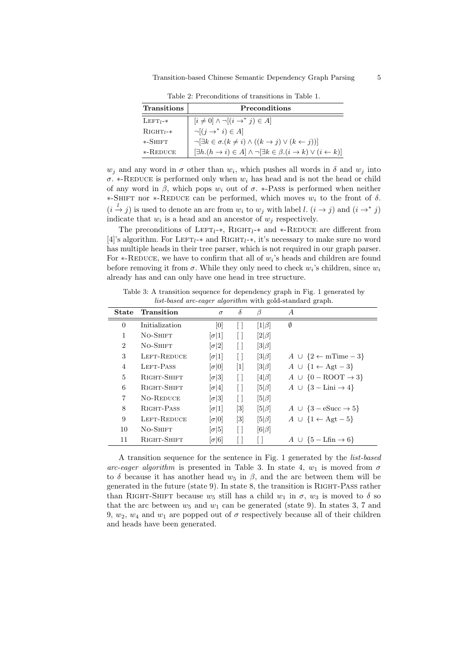| <b>Transitions</b> | <b>Preconditions</b>                                                                                          |
|--------------------|---------------------------------------------------------------------------------------------------------------|
| $LEFT_{l-*}$       | $[i \neq 0] \wedge \neg[(i \rightarrow^* j) \in A]$                                                           |
| $RIGHT_{l-*}$      | $\neg[(j \rightarrow^* i) \in A]$                                                                             |
| $*$ -Shift         | $\neg[\exists k \in \sigma.(k \neq i) \land ((k \rightarrow j) \lor (k \leftarrow j))]$                       |
| $*$ -Reduce        | $[\exists h.(h \rightarrow i) \in A] \land \neg[\exists k \in \beta.(i \rightarrow k) \lor (i \leftarrow k)]$ |

Table 2: Preconditions of transitions in Table 1.

 $w_j$  and any word in  $\sigma$  other than  $w_i$ , which pushes all words in  $\delta$  and  $w_j$  into  $\sigma$ . \*-REDUCE is performed only when  $w_i$  has head and is not the head or child of any word in  $\beta$ , which pops  $w_i$  out of  $\sigma$ . \*-Pass is performed when neither  $*$ -SHIFT nor  $*$ -REDUCE can be performed, which moves  $w_i$  to the front of δ.  $(i \stackrel{l}{\to} j)$  is used to denote an arc from  $w_i$  to  $w_j$  with label l.  $(i \to j)$  and  $(i \to^* j)$ indicate that  $w_i$  is a head and an ancestor of  $w_j$  respectively.

The preconditions of LEFT<sub>l</sub>-∗, RIGHT<sub>l</sub>-∗ and ∗-REDUCE are different from [4]'s algorithm. For LEFT<sub>l</sub>-∗ and RIGHT<sub>l</sub>-∗, it's necessary to make sure no word has multiple heads in their tree parser, which is not required in our graph parser. For  $*$ -REDUCE, we have to confirm that all of  $w_i$ 's heads and children are found before removing it from  $\sigma$ . While they only need to check  $w_i$ 's children, since  $w_i$ already has and can only have one head in tree structure.

| Table 3: A transition sequence for dependency graph in Fig. 1 generated by |                                                                 |  |  |  |  |
|----------------------------------------------------------------------------|-----------------------------------------------------------------|--|--|--|--|
|                                                                            | <i>list-based arc-eager algorithm</i> with gold-standard graph. |  |  |  |  |

| <b>State</b>   | Transition       | $\sigma$     | $\delta$                     | β           | А                                           |
|----------------|------------------|--------------|------------------------------|-------------|---------------------------------------------|
| $\theta$       | Initialization   | [0]          |                              | $[1 \beta]$ | Ø                                           |
| 1              | NO-SHIFT         | $ \sigma 1 $ |                              | $[2 \beta]$ |                                             |
| $\overline{2}$ | NO-SHIFT         | $\sigma$  2] |                              | $[3 \beta]$ |                                             |
| 3              | LEFT-REDUCE      | $\sigma$  1] | $\mathbf{L}$                 | $[3 \beta]$ | $A \cup \{2 \leftarrow mTime - 3\}$         |
| $\overline{4}$ | LEFT-PASS        | $\sigma$  0] | $[1]$                        | $[3 \beta]$ | $A \cup \{1 \leftarrow \text{Agt} - 3\}$    |
| 5              | RIGHT-SHIFT      | $\sigma$  3  |                              | $[4 \beta]$ | $A \cup \{0 - \text{ROOT} \rightarrow 3\}$  |
| 6              | RIGHT-SHIFT      | $ \sigma 4 $ |                              | $[5 \beta]$ | $A \cup \{3 - \text{Lini} \rightarrow 4\}$  |
| $\overline{7}$ | <b>NO-REDUCE</b> | $\sigma$  3  |                              | $[5 \beta]$ |                                             |
| 8              | RIGHT-PASS       | $\sigma$  1] | $\left\lceil 3 \right\rceil$ | $[5 \beta]$ | $A \cup \{3 - \text{eSucc} \rightarrow 5\}$ |
| 9              | LEFT-REDUCE      | $\sigma$  0] | [3]                          | $[5 \beta]$ | $A \cup \{1 \leftarrow \text{Agt} - 5\}$    |
| 10             | NO-SHIFT         | $\sigma$ [5] |                              | $[6 \beta]$ |                                             |
| 11             | RIGHT-SHIFT      | $\sigma$  6] |                              |             | $A \cup \{5-\text{Lfin} \rightarrow 6\}$    |

A transition sequence for the sentence in Fig. 1 generated by the list-based arc-eager algorithm is presented in Table 3. In state 4,  $w_1$  is moved from  $\sigma$ to  $\delta$  because it has another head  $w_5$  in  $\beta$ , and the arc between them will be generated in the future (state 9). In state 8, the transition is Right-Pass rather than RIGHT-SHIFT because  $w_5$  still has a child  $w_1$  in  $\sigma$ ,  $w_3$  is moved to  $\delta$  so that the arc between  $w_5$  and  $w_1$  can be generated (state 9). In states 3, 7 and 9,  $w_2$ ,  $w_4$  and  $w_1$  are popped out of  $\sigma$  respectively because all of their children and heads have been generated.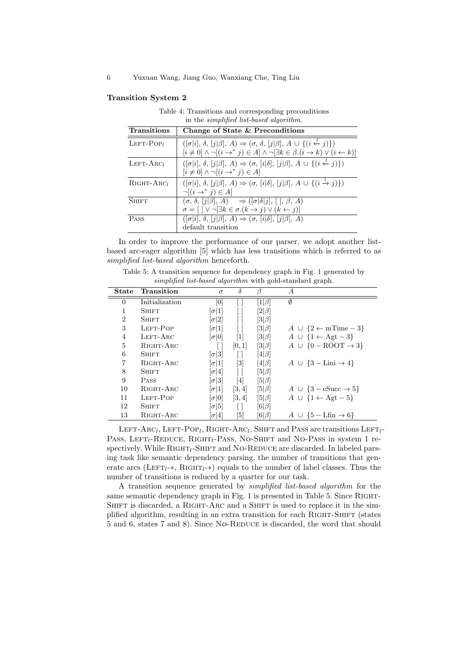#### Transition System 2

| Table 4: Transitions and corresponding preconditions |  |
|------------------------------------------------------|--|
| in the <i>simplified list-based algorithm</i> .      |  |

| <b>Transitions</b>        | Change of State & Preconditions                                                                                                                                                                                                                        |
|---------------------------|--------------------------------------------------------------------------------------------------------------------------------------------------------------------------------------------------------------------------------------------------------|
| $LEFT-POP_l$              | $([\sigma   i], \delta, [j   \beta], A) \Rightarrow (\sigma, \delta, [j   \beta], A \cup \{(i \leftarrow j)\})$<br>$[i \neq 0] \wedge \neg[(i \rightarrow^* j) \in A] \wedge \neg[\exists k \in \beta \ldotp (i \rightarrow k) \vee (i \leftarrow k)]$ |
| $LEFT-ARCl$               | $([\sigma   i], \delta, [j   \beta], A) \Rightarrow (\sigma, [i   \delta], [j   \beta], A \cup \{(i \leftarrow j)\})$<br>$[i \neq 0] \wedge \neg[(i \rightarrow^* j) \in A]$                                                                           |
| $R$ IGHT-ARC <sub>l</sub> | $([\sigma   i], \delta, [i   \beta], A) \Rightarrow (\sigma, [i   \delta], [i   \beta], A \cup \{(i \stackrel{l}{\rightarrow} i)\})$<br>$\neg[(i \rightarrow^* j) \in A]$                                                                              |
| <b>SHIFT</b>              | $(\sigma, \delta, [j \beta], A) \Rightarrow ([\sigma \delta j], [], \beta, A)$<br>$\sigma = [\ ] \lor \neg [\exists k \in \sigma.(k \rightarrow j) \lor (k \leftarrow j)]$                                                                             |
| <b>PASS</b>               | $([\sigma   i], \delta, [j   \beta], A) \Rightarrow (\sigma, [i   \delta], [j   \beta], A)$<br>default transition                                                                                                                                      |

In order to improve the performance of our parser, we adopt another listbased arc-eager algorithm [5] which has less transitions which is referred to as simplified list-based algorithm henceforth.

Table 5: A transition sequence for dependency graph in Fig. 1 generated by simplified list-based algorithm with gold-standard graph.

| <b>State</b>   | Transition     | $\sigma$                           | $\delta$                                                                                                                                                                         | ß           | А                                           |
|----------------|----------------|------------------------------------|----------------------------------------------------------------------------------------------------------------------------------------------------------------------------------|-------------|---------------------------------------------|
| $\Omega$       | Initialization | [0]                                |                                                                                                                                                                                  | $[1 \beta]$ | Ø                                           |
| 1              | <b>SHIFT</b>   | $\sigma$  1]                       |                                                                                                                                                                                  | $[2 \beta]$ |                                             |
| $\overline{2}$ | <b>SHIFT</b>   | $\sigma$  2]                       |                                                                                                                                                                                  | $[3 \beta]$ |                                             |
| 3              | LEFT-POP       | $\sigma$  1]                       |                                                                                                                                                                                  | $[3 \beta]$ | $A \cup \{2 \leftarrow mTime - 3\}$         |
| 4              | LEFT-ARC       | $\sigma$  0]                       | $\vert 1 \vert$                                                                                                                                                                  | $[3 \beta]$ | $A \cup \{1 \leftarrow \text{Agt} - 3\}$    |
| 5              | RIGHT-ARC      |                                    | [0, 1]                                                                                                                                                                           | $[3 \beta]$ | $A \cup \{0 - \text{ROOT} \rightarrow 3\}$  |
| 6              | <b>SHIFT</b>   | $\lbrack \sigma \rbrack 3 \rbrack$ |                                                                                                                                                                                  | $[4 \beta]$ |                                             |
| 7              | RIGHT-ARC      | $\sigma$  1]                       | [3]                                                                                                                                                                              | $[4 \beta]$ | $A \cup \{3 - \text{Lini} \rightarrow 4\}$  |
| 8              | <b>SHIFT</b>   | $\sigma$  4                        |                                                                                                                                                                                  | $[5 \beta]$ |                                             |
| 9              | <b>PASS</b>    | $\sigma$  3                        | $[4] % \includegraphics[width=0.9\columnwidth]{figures/fig_4} \caption{A graph shows a function of the parameter $\{1,2,3,4,\ldots\}$ for the $4$ and $3$-thick.} \label{fig:2}$ | $[5 \beta]$ |                                             |
| 10             | RIGHT-ARC      | $\sigma$  1]                       | [3,4]                                                                                                                                                                            | $[5 \beta]$ | $A \cup \{3 - \text{eSucc} \rightarrow 5\}$ |
| 11             | LEFT-POP       | $\sigma$  0]                       | [3, 4]                                                                                                                                                                           | $[5 \beta]$ | $A \cup \{1 \leftarrow \text{Agt} - 5\}$    |
| 12             | <b>SHIFT</b>   | $\sigma$ [5]                       |                                                                                                                                                                                  | $[6 \beta]$ |                                             |
| 13             | RIGHT-ARC      | $ \sigma 4 $                       | $\lceil 5 \rceil$                                                                                                                                                                | $[6 \beta]$ | $A \cup \{5 - \text{Lfin} \rightarrow 6\}$  |

LEFT-ARC<sub>l</sub>, LEFT-POP<sub>l</sub>, RIGHT-ARC<sub>l</sub>, SHIFT and PASS are transitions LEFT<sub>l</sub>-PASS, LEFT<sub>I</sub>-REDUCE, RIGHT<sub>I</sub>-PASS, NO-SHIFT and NO-PASS in system 1 respectively. While  $R$ IGHT<sub>l</sub>-SHIFT and NO-REDUCE are discarded. In labeled parsing task like semantic dependency parsing, the number of transitions that generate arcs (LEFT<sub>l</sub>-∗, RIGHT<sub>l</sub>-∗) equals to the number of label classes. Thus the number of transitions is reduced by a quarter for our task.

A transition sequence generated by simplified list-based algorithm for the same semantic dependency graph in Fig. 1 is presented in Table 5. Since RIGHT-SHIFT is discarded, a RIGHT-ARC and a SHIFT is used to replace it in the simplified algorithm, resulting in an extra transition for each RIGHT-SHIFT (states 5 and 6, states 7 and 8). Since NO-REDUCE is discarded, the word that should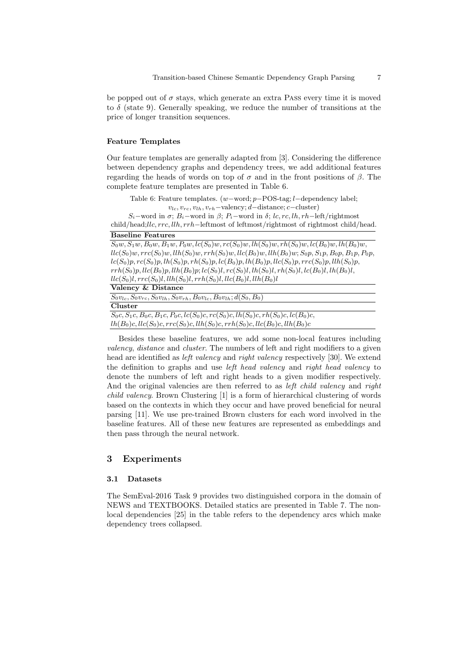be popped out of  $\sigma$  stays, which generate an extra PASS every time it is moved to  $\delta$  (state 9). Generally speaking, we reduce the number of transitions at the price of longer transition sequences.

#### Feature Templates

Our feature templates are generally adapted from [3]. Considering the difference between dependency graphs and dependency trees, we add additional features regarding the heads of words on top of  $\sigma$  and in the front positions of  $\beta$ . The complete feature templates are presented in Table 6.

Table 6: Feature templates. (w−word; p−POS-tag; l−dependency label;  $v_{lc}, v_{rc}, v_{lh}, v_{rh}$  – valency; d–distance; c–cluster)

S<sub>i</sub>–word in  $\sigma$ ; B<sub>i</sub>–word in β; P<sub>i</sub>–word in δ; lc, rc, lh, rh–left/rightmost child/head;llc, rrc, llh, rrh−leftmost of leftmost/rightmost of rightmost child/head.

| <b>Baseline Features</b> |  |
|--------------------------|--|
|--------------------------|--|

| $S_0w, S_1w, B_0w, B_1w, P_0w, lc(S_0)w, rc(S_0)w, lh(S_0)w, rh(S_0)w, lc(B_0)w, lh(B_0)w,$                                          |  |  |
|--------------------------------------------------------------------------------------------------------------------------------------|--|--|
| $llc(S_0)w, \text{rrc}(S_0)w, \text{llh}(S_0)w, \text{rrh}(S_0)w, \text{llc}(B_0)w, \text{llh}(B_0)w; S_0p, S_1p, B_0p, B_1p, P_0p,$ |  |  |
| $lc(S_0)p, rc(S_0)p, lh(S_0)p, rh(S_0)p, lc(B_0)p, lh(B_0)p, llc(S_0)p, rc(S_0)p, llh(S_0)p,$                                        |  |  |
| $rrh(S_0)p,$ $llc(B_0)p,$ $llh(B_0)p;$ $lc(S_0)l,$ $rc(S_0)l,$ $lh(S_0)l,$ $rh(S_0)l,$ $lc(B_0)l,$ $lh(B_0)l,$                       |  |  |
| $llc(S_0)l, rrc(S_0)l, llh(S_0)l, rrh(S_0)l, llc(B_0)l, llh(B_0)l$                                                                   |  |  |
|                                                                                                                                      |  |  |

Valency & Distance

 $S_0v_{lc}, S_0v_{rc}, S_0v_{lh}, S_0v_{rh}, B_0v_{lc}, B_0v_{lh}; d(S_0, B_0)$ 

Cluster

```
S_0c, S_1c, B_0c, B_1c, P_0c, lc(S_0)c, rc(S_0)c, lh(S_0)c, rh(S_0)c, lc(B_0)c,lh(B_0)c, llc(S_0)c, rrc(S_0)c, llh(S_0)c, rrh(S_0)c, llc(B_0)c, llh(B_0)c
```
Besides these baseline features, we add some non-local features including valency, distance and cluster. The numbers of left and right modifiers to a given head are identified as *left valency* and *right valency* respectively [30]. We extend the definition to graphs and use left head valency and right head valency to denote the numbers of left and right heads to a given modifier respectively. And the original valencies are then referred to as *left child valency* and *right* child valency. Brown Clustering [1] is a form of hierarchical clustering of words based on the contexts in which they occur and have proved beneficial for neural parsing [11]. We use pre-trained Brown clusters for each word involved in the baseline features. All of these new features are represented as embeddings and then pass through the neural network.

# 3 Experiments

## 3.1 Datasets

The SemEval-2016 Task 9 provides two distinguished corpora in the domain of NEWS and TEXTBOOKS. Detailed statics are presented in Table 7. The nonlocal dependencies [25] in the table refers to the dependency arcs which make dependency trees collapsed.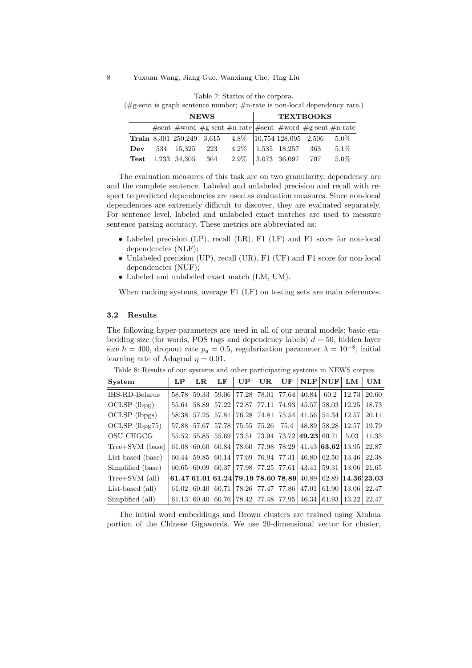|      | $\pi$ s bent is staph sentence number, $\pi$ n rate is non focal dependency rate. |              |                                |                                                                                         |                  |                           |     |         |  |  |
|------|-----------------------------------------------------------------------------------|--------------|--------------------------------|-----------------------------------------------------------------------------------------|------------------|---------------------------|-----|---------|--|--|
|      |                                                                                   |              | <b>NEWS</b>                    |                                                                                         | <b>TEXTBOOKS</b> |                           |     |         |  |  |
|      |                                                                                   |              |                                | $\#$ sent $\#$ word $\#$ g-sent $\#$ n-rate $\#$ sent $\#$ word $\#$ g-sent $\#$ n-rate |                  |                           |     |         |  |  |
|      |                                                                                   |              | Train 8,301 250,249 3,615 4.8% |                                                                                         |                  | $ 10,754\;128,095\;2,506$ |     | $5.0\%$ |  |  |
| Dev  |                                                                                   | 534 15,325   | 223                            | $4.2\%$                                                                                 |                  | 1,535 18,257              | 363 | $5.1\%$ |  |  |
| Test |                                                                                   | 1,233 34,305 | 364                            | $2.9\%$                                                                                 |                  | 3.073 36.097              | 707 | $5.0\%$ |  |  |

Table 7: Statics of the corpora.

 $(\text{#g-sent is graph sentence number: #n-rate is non-local dependency rate.})$ 

The evaluation measures of this task are on two granularity, dependency arc and the complete sentence. Labeled and unlabeled precision and recall with respect to predicted dependencies are used as evaluation measures. Since non-local dependencies are extremely difficult to discover, they are evaluated separately. For sentence level, labeled and unlabeled exact matches are used to measure sentence parsing accuracy. These metrics are abbreviated as:

- Labeled precision (LP), recall (LR), F1 (LF) and F1 score for non-local dependencies (NLF);
- Unlabeled precision (UP), recall (UR), F1 (UF) and F1 score for non-local dependencies (NUF);
- Labeled and unlabeled exact match (LM, UM).

When ranking systems, average F1 (LF) on testing sets are main references.

# 3.2 Results

The following hyper-parameters are used in all of our neural models: basic embedding size (for words, POS tags and dependency labels)  $d = 50$ , hidden layer size  $h = 400$ , dropout rate  $p_d = 0.5$ , regularization parameter  $\lambda = 10^{-8}$ , initial learning rate of Adagrad  $\eta = 0.01$ .

| System               | $\mathbf{LP}$ | LR. | LF                                          | UP | UR. | UF |       | NLF NUF                                                            | LM                      | UM    |
|----------------------|---------------|-----|---------------------------------------------|----|-----|----|-------|--------------------------------------------------------------------|-------------------------|-------|
| IHS-RD-Belarus       |               |     | 58.78 59.33 59.06 77.28 78.01 77.64 40.84   |    |     |    |       | 60.2                                                               | 12.73                   | 20.60 |
| $OCLSP$ (lbpg)       |               |     | 55.64 58.89 57.22 72.87 77.11 74.93 45.57   |    |     |    |       | 58.03                                                              | 12.25                   | 18.73 |
| OCLSP (lbpgs)        |               |     |                                             |    |     |    |       | 58.38 57.25 57.81 76.28 74.81 75.54 41.56 54.34                    | 12.57                   | 20.11 |
| $OCLSP$ (lbpg $75$ ) |               |     | 57.88 57.67 57.78 75.55 75.26 75.4          |    |     |    |       | 48.89 58.28                                                        | 12.57                   | 19.79 |
| <b>OSU CHGCG</b>     |               |     |                                             |    |     |    |       | 55.52 55.85 55.69 73.51 73.94 73.72 49.23 60.71                    | 5.03                    | 11.35 |
| $Tree+SVM$ (base)    |               |     |                                             |    |     |    |       | 61.08 60.60 60.84 78.60 77.98 78.29 41.43 63.62 13.95              |                         | 22.87 |
| List-based (base)    |               |     |                                             |    |     |    |       | 60.44 59.85 60.14 77.69 76.94 77.31 46.80 62.50 13.46              |                         | 22.38 |
| Simplified (base)    |               |     | 60.65 60.09 60.37 77.98 77.25 77.61         |    |     |    | 43.41 | 59.31                                                              | 13.06                   | 21.65 |
| $Tree+SVM$ (all)     |               |     |                                             |    |     |    |       | $\mid$ 61.47 61.01 61.24 79.19 78.60 78.89 40.89 62.89 14.36 23.03 |                         |       |
| List-based (all)     |               |     | $61.02$ 60.40 60.71 78.26 77.47 77.86 47.01 |    |     |    |       |                                                                    | $61.90 \mid 13.06 \mid$ | 22.47 |
| Simplified (all)     |               |     |                                             |    |     |    |       | 61.13 60.40 60.76 78.42 77.48 77.95 46.34 61.93 13.22              |                         | 22.47 |

Table 8: Results of our systems and other participating systems in NEWS corpus

The initial word embeddings and Brown clusters are trained using Xinhua portion of the Chinese Gigawords. We use 20-dimensional vector for cluster,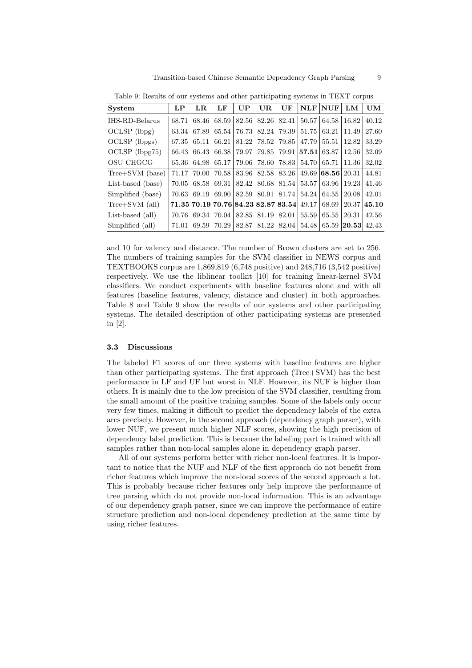| <b>System</b>        | LP | LR. | LF | UP | UR. | UF                                                      |       | NLF NUF                                               | LM                      | UM              |
|----------------------|----|-----|----|----|-----|---------------------------------------------------------|-------|-------------------------------------------------------|-------------------------|-----------------|
| IHS-RD-Belarus       |    |     |    |    |     | 68.71 68.46 68.59 82.56 82.26 82.41 50.57               |       |                                                       | $64.58 \mid 16.82 \mid$ | 40.12           |
| $OCLSP$ (lbpg)       |    |     |    |    |     | 63.34 67.89 65.54 76.73 82.24 79.39 51.75               |       | 63.21                                                 | 11.49                   | 27.60           |
| $OCLSP$ (lbpgs)      |    |     |    |    |     | 67.35 65.11 66.21 81.22 78.52 79.85                     | 47.79 | 55.51                                                 | 12.82                   | 33.29           |
| $OCLSP$ (lbpg $75$ ) |    |     |    |    |     |                                                         |       | 66.43 66.43 66.38 79.97 79.85 79.91 57.51 63.87 12.56 |                         | 32.09           |
| <b>OSU CHGCG</b>     |    |     |    |    |     |                                                         |       | 65.36 64.98 65.17 79.06 78.60 78.83 54.70 65.71       | -11.36 l                | 32.02           |
| Tree+SVM (base)      |    |     |    |    |     |                                                         |       | 71.17 70.00 70.58 83.96 82.58 83.26 49.69 68.56 20.31 |                         | 44.81           |
| List-based (base)    |    |     |    |    |     | 70.05 68.58 69.31 82.42 80.68 81.54 53.57               |       |                                                       | 63.96   19.23           | 41.46           |
| Simplified (base)    |    |     |    |    |     | 70.63 69.19 69.90 82.59 80.91 81.74 54.24               |       |                                                       | $64.55 \mid 20.08 \mid$ | 42.01           |
| $Tree+SVM$ (all)     |    |     |    |    |     | $\mid$ 71.35 70.19 70.76 84.23 82.87 83.54 49.17 $\mid$ |       | 68.69                                                 | 20.37                   | $ 45.10\rangle$ |
| List-based (all)     |    |     |    |    |     | 70.76 69.34 70.04 82.85 81.19 82.01                     | 55.59 | $65.55 \mid 20.31$                                    |                         | 42.56           |
| Simplified (all)     |    |     |    |    |     | 71.01 69.59 70.29 82.87 81.22 82.04 54.48               |       |                                                       | $65.59$   20.53   42.43 |                 |

Table 9: Results of our systems and other participating systems in TEXT corpus

and 10 for valency and distance. The number of Brown clusters are set to 256. The numbers of training samples for the SVM classifier in NEWS corpus and TEXTBOOKS corpus are 1,869,819 (6,748 positive) and 248,716 (3,542 positive) respectively. We use the liblinear toolkit [10] for training linear-kernel SVM classifiers. We conduct experiments with baseline features alone and with all features (baseline features, valency, distance and cluster) in both approaches. Table 8 and Table 9 show the results of our systems and other participating systems. The detailed description of other participating systems are presented in [2].

#### 3.3 Discussions

The labeled F1 scores of our three systems with baseline features are higher than other participating systems. The first approach (Tree+SVM) has the best performance in LF and UF but worst in NLF. However, its NUF is higher than others. It is mainly due to the low precision of the SVM classifier, resulting from the small amount of the positive training samples. Some of the labels only occur very few times, making it difficult to predict the dependency labels of the extra arcs precisely. However, in the second approach (dependency graph parser), with lower NUF, we present much higher NLF scores, showing the high precision of dependency label prediction. This is because the labeling part is trained with all samples rather than non-local samples alone in dependency graph parser.

All of our systems perform better with richer non-local features. It is important to notice that the NUF and NLF of the first approach do not benefit from richer features which improve the non-local scores of the second approach a lot. This is probably because richer features only help improve the performance of tree parsing which do not provide non-local information. This is an advantage of our dependency graph parser, since we can improve the performance of entire structure prediction and non-local dependency prediction at the same time by using richer features.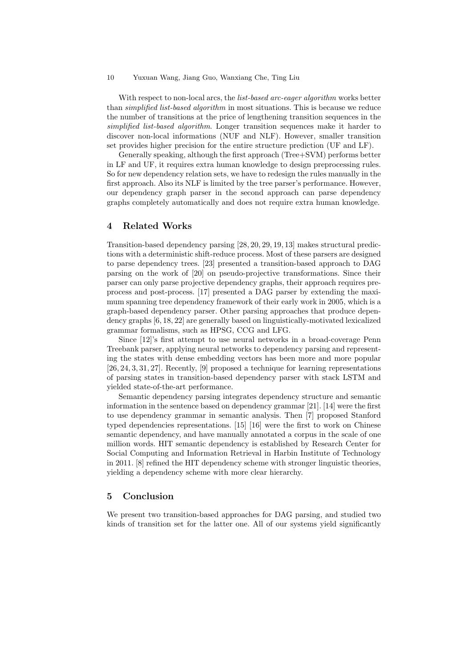# 10 Yuxuan Wang, Jiang Guo, Wanxiang Che, Ting Liu

With respect to non-local arcs, the *list-based arc-eager algorithm* works better than *simplified list-based algorithm* in most situations. This is because we reduce the number of transitions at the price of lengthening transition sequences in the simplified list-based algorithm. Longer transition sequences make it harder to discover non-local informations (NUF and NLF). However, smaller transition set provides higher precision for the entire structure prediction (UF and LF).

Generally speaking, although the first approach (Tree+SVM) performs better in LF and UF, it requires extra human knowledge to design preprocessing rules. So for new dependency relation sets, we have to redesign the rules manually in the first approach. Also its NLF is limited by the tree parser's performance. However, our dependency graph parser in the second approach can parse dependency graphs completely automatically and does not require extra human knowledge.

# 4 Related Works

Transition-based dependency parsing [28, 20, 29, 19, 13] makes structural predictions with a deterministic shift-reduce process. Most of these parsers are designed to parse dependency trees. [23] presented a transition-based approach to DAG parsing on the work of [20] on pseudo-projective transformations. Since their parser can only parse projective dependency graphs, their approach requires preprocess and post-process. [17] presented a DAG parser by extending the maximum spanning tree dependency framework of their early work in 2005, which is a graph-based dependency parser. Other parsing approaches that produce dependency graphs [6, 18, 22] are generally based on linguistically-motivated lexicalized grammar formalisms, such as HPSG, CCG and LFG.

Since [12]'s first attempt to use neural networks in a broad-coverage Penn Treebank parser, applying neural networks to dependency parsing and representing the states with dense embedding vectors has been more and more popular [26, 24, 3, 31, 27]. Recently, [9] proposed a technique for learning representations of parsing states in transition-based dependency parser with stack LSTM and yielded state-of-the-art performance.

Semantic dependency parsing integrates dependency structure and semantic information in the sentence based on dependency grammar [21]. [14] were the first to use dependency grammar in semantic analysis. Then [7] proposed Stanford typed dependencies representations. [15] [16] were the first to work on Chinese semantic dependency, and have manually annotated a corpus in the scale of one million words. HIT semantic dependency is established by Research Center for Social Computing and Information Retrieval in Harbin Institute of Technology in 2011. [8] refined the HIT dependency scheme with stronger linguistic theories, yielding a dependency scheme with more clear hierarchy.

# 5 Conclusion

We present two transition-based approaches for DAG parsing, and studied two kinds of transition set for the latter one. All of our systems yield significantly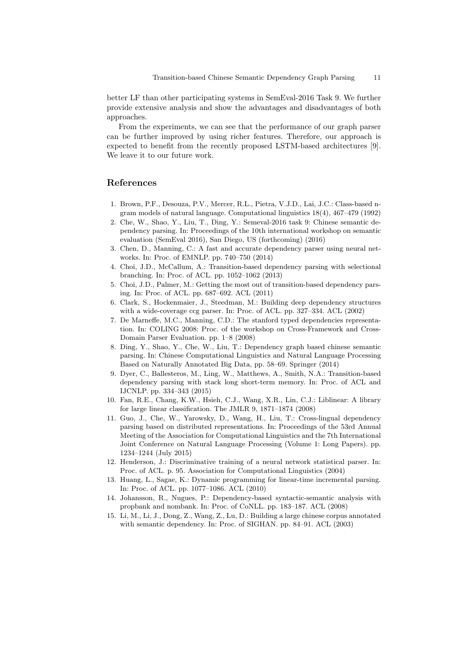better LF than other participating systems in SemEval-2016 Task 9. We further provide extensive analysis and show the advantages and disadvantages of both approaches.

From the experiments, we can see that the performance of our graph parser can be further improved by using richer features. Therefore, our approach is expected to benefit from the recently proposed LSTM-based architectures [9]. We leave it to our future work.

# References

- 1. Brown, P.F., Desouza, P.V., Mercer, R.L., Pietra, V.J.D., Lai, J.C.: Class-based ngram models of natural language. Computational linguistics 18(4), 467–479 (1992)
- 2. Che, W., Shao, Y., Liu, T., Ding, Y.: Semeval-2016 task 9: Chinese semantic dependency parsing. In: Proceedings of the 10th international workshop on semantic evaluation (SemEval 2016), San Diego, US (forthcoming) (2016)
- 3. Chen, D., Manning, C.: A fast and accurate dependency parser using neural networks. In: Proc. of EMNLP. pp. 740–750 (2014)
- 4. Choi, J.D., McCallum, A.: Transition-based dependency parsing with selectional branching. In: Proc. of ACL. pp. 1052–1062 (2013)
- 5. Choi, J.D., Palmer, M.: Getting the most out of transition-based dependency parsing. In: Proc. of ACL. pp. 687–692. ACL (2011)
- 6. Clark, S., Hockenmaier, J., Steedman, M.: Building deep dependency structures with a wide-coverage ccg parser. In: Proc. of ACL. pp. 327–334. ACL (2002)
- 7. De Marneffe, M.C., Manning, C.D.: The stanford typed dependencies representation. In: COLING 2008: Proc. of the workshop on Cross-Framework and Cross-Domain Parser Evaluation. pp. 1–8 (2008)
- 8. Ding, Y., Shao, Y., Che, W., Liu, T.: Dependency graph based chinese semantic parsing. In: Chinese Computational Linguistics and Natural Language Processing Based on Naturally Annotated Big Data, pp. 58–69. Springer (2014)
- 9. Dyer, C., Ballesteros, M., Ling, W., Matthews, A., Smith, N.A.: Transition-based dependency parsing with stack long short-term memory. In: Proc. of ACL and IJCNLP. pp. 334–343 (2015)
- 10. Fan, R.E., Chang, K.W., Hsieh, C.J., Wang, X.R., Lin, C.J.: Liblinear: A library for large linear classification. The JMLR 9, 1871–1874 (2008)
- 11. Guo, J., Che, W., Yarowsky, D., Wang, H., Liu, T.: Cross-lingual dependency parsing based on distributed representations. In: Proceedings of the 53rd Annual Meeting of the Association for Computational Linguistics and the 7th International Joint Conference on Natural Language Processing (Volume 1: Long Papers). pp. 1234–1244 (July 2015)
- 12. Henderson, J.: Discriminative training of a neural network statistical parser. In: Proc. of ACL. p. 95. Association for Computational Linguistics (2004)
- 13. Huang, L., Sagae, K.: Dynamic programming for linear-time incremental parsing. In: Proc. of ACL. pp. 1077–1086. ACL (2010)
- 14. Johansson, R., Nugues, P.: Dependency-based syntactic-semantic analysis with propbank and nombank. In: Proc. of CoNLL. pp. 183–187. ACL (2008)
- 15. Li, M., Li, J., Dong, Z., Wang, Z., Lu, D.: Building a large chinese corpus annotated with semantic dependency. In: Proc. of SIGHAN. pp. 84–91. ACL (2003)